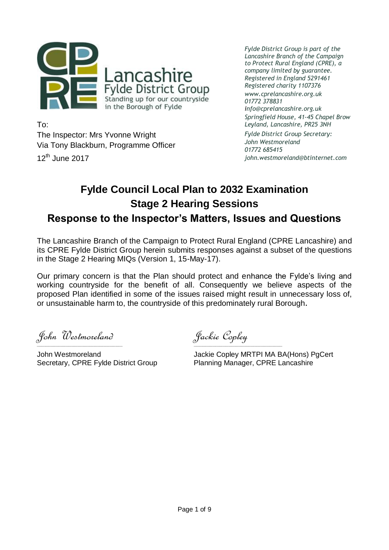

To: The Inspector: Mrs Yvonne Wright Via Tony Blackburn, Programme Officer  $12<sup>th</sup>$  June 2017

*Fylde District Group is part of the Lancashire Branch of the Campaign to Protect Rural England (CPRE), a company limited by guarantee. Registered in England 5291461 Registered charity 1107376 www.cprelancashire.org.uk 01772 378831 info@cprelancashire.org.uk Springfield House, 41-45 Chapel Brow Leyland, Lancashire, PR25 3NH*

*Fylde District Group Secretary: John Westmoreland 01772 685415 john.westmoreland@btinternet.com*

# **Fylde Council Local Plan to 2032 Examination Stage 2 Hearing Sessions Response to the Inspector's Matters, Issues and Questions**

The Lancashire Branch of the Campaign to Protect Rural England (CPRE Lancashire) and its CPRE Fylde District Group herein submits responses against a subset of the questions in the Stage 2 Hearing MIQs (Version 1, 15-May-17).

Our primary concern is that the Plan should protect and enhance the Fylde's living and working countryside for the benefit of all. Consequently we believe aspects of the proposed Plan identified in some of the issues raised might result in unnecessary loss of, or unsustainable harm to, the countryside of this predominately rural Borough.

John Westmoreland Jackie Copley

Secretary, CPRE Fylde District Group Planning Manager, CPRE Lancashire

 $\_$  , and the set of the set of the set of the set of the set of the set of the set of the set of the set of the set of the set of the set of the set of the set of the set of the set of the set of the set of the set of th

John Westmoreland Jackie Copley MRTPI MA BA(Hons) PgCert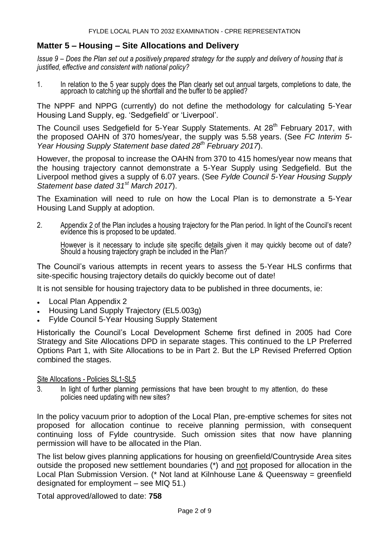# **Matter 5 – Housing – Site Allocations and Delivery**

*Issue 9 – Does the Plan set out a positively prepared strategy for the supply and delivery of housing that is justified, effective and consistent with national policy?*

1. In relation to the 5 year supply does the Plan clearly set out annual targets, completions to date, the approach to catching up the shortfall and the buffer to be applied?

The NPPF and NPPG (currently) do not define the methodology for calculating 5-Year Housing Land Supply, eg. 'Sedgefield' or 'Liverpool'.

The Council uses Sedgefield for 5-Year Supply Statements. At 28<sup>th</sup> February 2017, with the proposed OAHN of 370 homes/year, the supply was 5.58 years. (See *FC Interim 5- Year Housing Supply Statement base dated 28th February 2017*).

However, the proposal to increase the OAHN from 370 to 415 homes/year now means that the housing trajectory cannot demonstrate a 5-Year Supply using Sedgefield. But the Liverpool method gives a supply of 6.07 years. (See *Fylde Council 5-Year Housing Supply Statement base dated 31st March 2017*).

The Examination will need to rule on how the Local Plan is to demonstrate a 5-Year Housing Land Supply at adoption.

2. Appendix 2 of the Plan includes a housing trajectory for the Plan period. In light of the Council's recent evidence this is proposed to be updated.

However is it necessary to include site specific details given it may quickly become out of date? Should a housing trajectory graph be included in the Plan?

The Council's various attempts in recent years to assess the 5-Year HLS confirms that site-specific housing trajectory details do quickly become out of date!

It is not sensible for housing trajectory data to be published in three documents, ie:

- Local Plan Appendix 2
- Housing Land Supply Trajectory (EL5.003g)
- Fylde Council 5-Year Housing Supply Statement

Historically the Council's Local Development Scheme first defined in 2005 had Core Strategy and Site Allocations DPD in separate stages. This continued to the LP Preferred Options Part 1, with Site Allocations to be in Part 2. But the LP Revised Preferred Option combined the stages.

## Site Allocations - Policies SL1-SL5

3. In light of further planning permissions that have been brought to my attention, do these policies need updating with new sites?

In the policy vacuum prior to adoption of the Local Plan, pre-emptive schemes for sites not proposed for allocation continue to receive planning permission, with consequent continuing loss of Fylde countryside. Such omission sites that now have planning permission will have to be allocated in the Plan.

The list below gives planning applications for housing on greenfield/Countryside Area sites outside the proposed new settlement boundaries (\*) and not proposed for allocation in the Local Plan Submission Version. (\* Not land at Kilnhouse Lane & Queensway = greenfield designated for employment – see MIQ 51.)

Total approved/allowed to date: **758**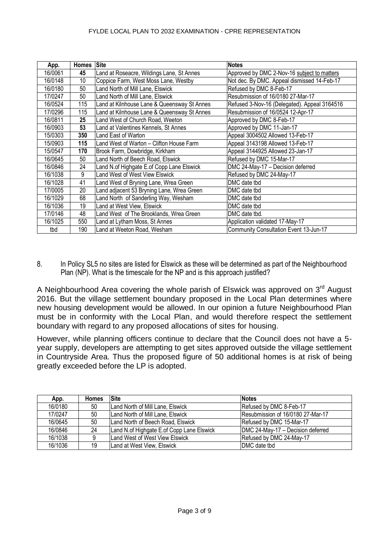#### FYLDE LOCAL PLAN TO 2032 EXAMINATION - CPRE REPRESENTATION

| App.    | <b>Homes</b> | <b>Site</b>                                 | <b>Notes</b>                                 |
|---------|--------------|---------------------------------------------|----------------------------------------------|
| 16/0061 | 45           | Land at Roseacre, Wildings Lane, St Annes   | Approved by DMC 2-Nov-16 subject to matters  |
| 16/0148 | 10           | Coppice Farm, West Moss Lane, Westby        | Not dec. By DMC. Appeal dismissed 14-Feb-17  |
| 16/0180 | 50           | Land North of Mill Lane, Elswick            | Refused by DMC 8-Feb-17                      |
| 17/0247 | 50           | Land North of Mill Lane, Elswick            | Resubmission of 16/0180 27-Mar-17            |
| 16/0524 | 115          | Land at Kilnhouse Lane & Queensway St Annes | Refused 3-Nov-16 (Delegated). Appeal 3164516 |
| 17/0296 | 115          | Land at Kilnhouse Lane & Queensway St Annes | Resubmission of 16/0524 12-Apr-17            |
| 16/0811 | 25           | Land West of Church Road, Weeton            | Approved by DMC 8-Feb-17                     |
| 16/0903 | 53           | Land at Valentines Kennels, St Annes        | Approved by DMC 11-Jan-17                    |
| 15/0303 | 350          | Land East of Warton                         | Appeal 3004502 Allowed 13-Feb-17             |
| 15/0903 | 115          | Land West of Warton - Clifton House Farm    | Appeal 3143198 Allowed 13-Feb-17             |
| 15/0547 | 170          | Brook Farm, Dowbridge, Kirkham              | Appeal 3144925 Allowed 23-Jan-17             |
| 16/0645 | 50           | Land North of Beech Road, Elswick           | Refused by DMC 15-Mar-17                     |
| 16/0846 | 24           | Land N.of Highgate E.of Copp Lane Elswick   | DMC 24-May-17 - Decision deferred            |
| 16/1038 | 9            | Land West of West View Elswick              | Refused by DMC 24-May-17                     |
| 16/1028 | 41           | Land West of Bryning Lane, Wrea Green       | DMC date tbd                                 |
| 17/0005 | 20           | Land adjacent 53 Bryning Lane, Wrea Green   | DMC date tbd                                 |
| 16/1029 | 68           | Land North of Sanderling Way, Wesham        | DMC date tbd                                 |
| 16/1036 | 19           | Land at West View, Elswick                  | DMC date tbd                                 |
| 17/0146 | 48           | Land West of The Brooklands, Wrea Green     | DMC date tbd.                                |
| 16/1025 | 550          | Land at Lytham Moss, St Annes               | Application validated 17-May-17              |
| tbd     | 190          | and at Weeton Road, Wesham                  | Community Consultation Event 13-Jun-17       |

8. In Policy SL5 no sites are listed for Elswick as these will be determined as part of the Neighbourhood Plan (NP). What is the timescale for the NP and is this approach justified?

A Neighbourhood Area covering the whole parish of Elswick was approved on 3<sup>rd</sup> August 2016. But the village settlement boundary proposed in the Local Plan determines where new housing development would be allowed. In our opinion a future Neighbourhood Plan must be in conformity with the Local Plan, and would therefore respect the settlement boundary with regard to any proposed allocations of sites for housing.

However, while planning officers continue to declare that the Council does not have a 5 year supply, developers are attempting to get sites approved outside the village settlement in Countryside Area. Thus the proposed figure of 50 additional homes is at risk of being greatly exceeded before the LP is adopted.

| App.    | <b>Homes</b> | <b>Site</b>                               | <b>Notes</b>                      |
|---------|--------------|-------------------------------------------|-----------------------------------|
| 16/0180 | 50           | Land North of Mill Lane, Elswick          | Refused by DMC 8-Feb-17           |
| 17/0247 | 50           | Land North of Mill Lane, Elswick          | Resubmission of 16/0180 27-Mar-17 |
| 16/0645 | 50           | Land North of Beech Road, Elswick         | Refused by DMC 15-Mar-17          |
| 16/0846 | 24           | Land N.of Highgate E.of Copp Lane Elswick | DMC 24-May-17 - Decision deferred |
| 16/1038 |              | Land West of West View Elswick            | Refused by DMC 24-May-17          |
| 16/1036 | 19           | Land at West View, Elswick                | DMC date tbd                      |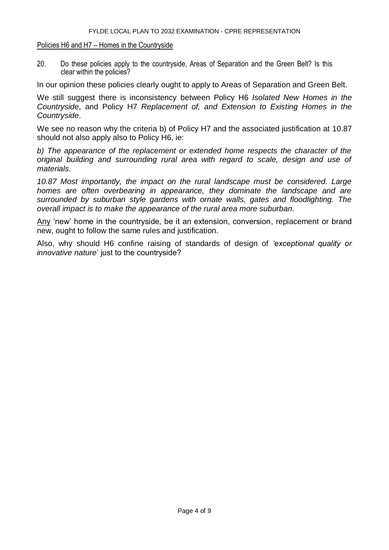## Policies H6 and H7 – Homes in the Countryside

20. Do these policies apply to the countryside, Areas of Separation and the Green Belt? Is this clear within the policies?

In our opinion these policies clearly ought to apply to Areas of Separation and Green Belt.

We still suggest there is inconsistency between Policy H6 *Isolated New Homes in the Countryside*, and Policy H7 *Replacement of, and Extension to Existing Homes in the Countryside*.

We see no reason why the criteria b) of Policy H7 and the associated justification at 10.87 should not also apply also to Policy H6, ie:

*b) The appearance of the replacement or extended home respects the character of the original building and surrounding rural area with regard to scale, design and use of materials.*

*10.87 Most importantly, the impact on the rural landscape must be considered. Large homes are often overbearing in appearance, they dominate the landscape and are surrounded by suburban style gardens with ornate walls, gates and floodlighting. The overall impact is to make the appearance of the rural area more suburban.*

Any 'new' home in the countryside, be it an extension, conversion, replacement or brand new, ought to follow the same rules and justification.

Also, why should H6 confine raising of standards of design of *'exceptional quality or innovative nature*' just to the countryside?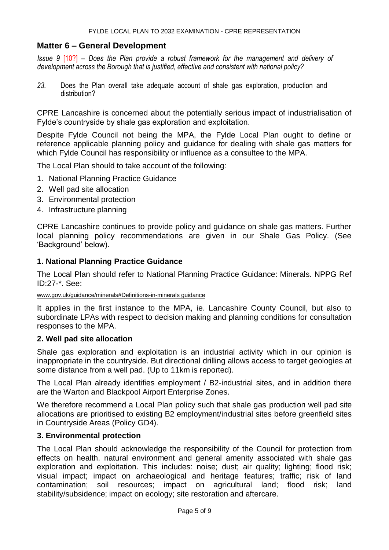# **Matter 6 – General Development**

*Issue 9* [10?] *– Does the Plan provide a robust framework for the management and delivery of development across the Borough that is justified, effective and consistent with national policy?*

*23.* Does the Plan overall take adequate account of shale gas exploration, production and distribution?

CPRE Lancashire is concerned about the potentially serious impact of industrialisation of Fylde's countryside by shale gas exploration and exploitation.

Despite Fylde Council not being the MPA, the Fylde Local Plan ought to define or reference applicable planning policy and guidance for dealing with shale gas matters for which Fylde Council has responsibility or influence as a consultee to the MPA.

The Local Plan should to take account of the following:

- 1. National Planning Practice Guidance
- 2. Well pad site allocation
- 3. Environmental protection
- 4. Infrastructure planning

CPRE Lancashire continues to provide policy and guidance on shale gas matters. Further local planning policy recommendations are given in our Shale Gas Policy. (See 'Background' below).

## **1. National Planning Practice Guidance**

The Local Plan should refer to National Planning Practice Guidance: Minerals. NPPG Ref ID:27-\*. See:

[www.gov.uk/guidance/minerals#Definitions-in-minerals guidance](http://www.gov.uk/guidance/minerals#Definitions-in-minerals guidance)

It applies in the first instance to the MPA, ie. Lancashire County Council, but also to subordinate LPAs with respect to decision making and planning conditions for consultation responses to the MPA.

## **2. Well pad site allocation**

Shale gas exploration and exploitation is an industrial activity which in our opinion is inappropriate in the countryside. But directional drilling allows access to target geologies at some distance from a well pad. (Up to 11km is reported).

The Local Plan already identifies employment / B2-industrial sites, and in addition there are the Warton and Blackpool Airport Enterprise Zones.

We therefore recommend a Local Plan policy such that shale gas production well pad site allocations are prioritised to existing B2 employment/industrial sites before greenfield sites in Countryside Areas (Policy GD4).

## **3. Environmental protection**

The Local Plan should acknowledge the responsibility of the Council for protection from effects on health. natural environment and general amenity associated with shale gas exploration and exploitation. This includes: noise; dust; air quality; lighting; flood risk; visual impact; impact on archaeological and heritage features; traffic; risk of land contamination; soil resources; impact on agricultural land; flood risk; land stability/subsidence; impact on ecology; site restoration and aftercare.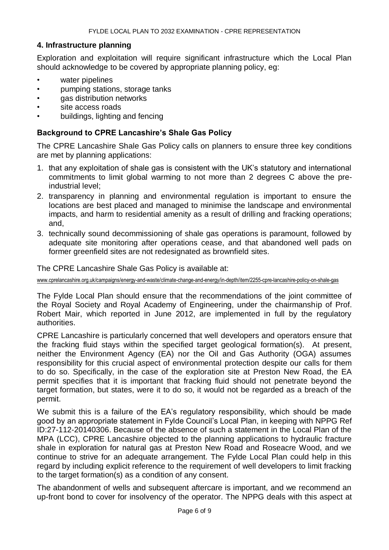## **4. Infrastructure planning**

Exploration and exploitation will require significant infrastructure which the Local Plan should acknowledge to be covered by appropriate planning policy, eg:

- water pipelines
- pumping stations, storage tanks
- gas distribution networks
- site access roads
- buildings, lighting and fencing

## **Background to CPRE Lancashire's Shale Gas Policy**

The CPRE Lancashire Shale Gas Policy calls on planners to ensure three key conditions are met by planning applications:

- 1. that any exploitation of shale gas is consistent with the UK's statutory and international commitments to limit global warming to not more than 2 degrees C above the preindustrial level;
- 2. transparency in planning and environmental regulation is important to ensure the locations are best placed and managed to minimise the landscape and environmental impacts, and harm to residential amenity as a result of drilling and fracking operations; and,
- 3. technically sound decommissioning of shale gas operations is paramount, followed by adequate site monitoring after operations cease, and that abandoned well pads on former greenfield sites are not redesignated as brownfield sites.

The CPRE Lancashire Shale Gas Policy is available at:

[www.cprelancashire.org.uk/campaigns/energy-and-waste/climate-change-and-energy/in-depth/item/2255-cpre-lancashire-policy-on-shale-gas](http://www.cprelancashire.org.uk/campaigns/energy-and-waste/climate-change-and-energy/in-depth/item/2255-cpre-lancashire-policy-on-shale-gas)

The Fylde Local Plan should ensure that the recommendations of the joint committee of the Royal Society and Royal Academy of Engineering, under the chairmanship of Prof. Robert Mair, which reported in June 2012, are implemented in full by the regulatory authorities.

CPRE Lancashire is particularly concerned that well developers and operators ensure that the fracking fluid stays within the specified target geological formation(s). At present, neither the Environment Agency (EA) nor the Oil and Gas Authority (OGA) assumes responsibility for this crucial aspect of environmental protection despite our calls for them to do so. Specifically, in the case of the exploration site at Preston New Road, the EA permit specifies that it is important that fracking fluid should not penetrate beyond the target formation, but states, were it to do so, it would not be regarded as a breach of the permit.

We submit this is a failure of the EA's regulatory responsibility, which should be made good by an appropriate statement in Fylde Council's Local Plan, in keeping with NPPG Ref ID:27-112-20140306. Because of the absence of such a statement in the Local Plan of the MPA (LCC), CPRE Lancashire objected to the planning applications to hydraulic fracture shale in exploration for natural gas at Preston New Road and Roseacre Wood, and we continue to strive for an adequate arrangement. The Fylde Local Plan could help in this regard by including explicit reference to the requirement of well developers to limit fracking to the target formation(s) as a condition of any consent.

The abandonment of wells and subsequent aftercare is important, and we recommend an up-front bond to cover for insolvency of the operator. The NPPG deals with this aspect at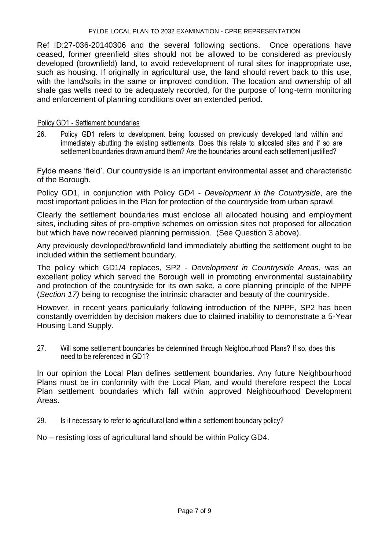## FYLDE LOCAL PLAN TO 2032 EXAMINATION - CPRE REPRESENTATION

Ref ID:27-036-20140306 and the several following sections. Once operations have ceased, former greenfield sites should not be allowed to be considered as previously developed (brownfield) land, to avoid redevelopment of rural sites for inappropriate use, such as housing. If originally in agricultural use, the land should revert back to this use, with the land/soils in the same or improved condition. The location and ownership of all shale gas wells need to be adequately recorded, for the purpose of long-term monitoring and enforcement of planning conditions over an extended period.

## Policy GD1 - Settlement boundaries

26. Policy GD1 refers to development being focussed on previously developed land within and immediately abutting the existing settlements. Does this relate to allocated sites and if so are settlement boundaries drawn around them? Are the boundaries around each settlement justified?

Fylde means 'field'. Our countryside is an important environmental asset and characteristic of the Borough.

Policy GD1, in conjunction with Policy GD4 - *Development in the Countryside*, are the most important policies in the Plan for protection of the countryside from urban sprawl.

Clearly the settlement boundaries must enclose all allocated housing and employment sites, including sites of pre-emptive schemes on omission sites not proposed for allocation but which have now received planning permission. (See Question 3 above).

Any previously developed/brownfield land immediately abutting the settlement ought to be included within the settlement boundary.

The policy which GD1/4 replaces, SP2 - *Development in Countryside Areas*, was an excellent policy which served the Borough well in promoting environmental sustainability and protection of the countryside for its own sake, a core planning principle of the NPPF (*Section 17)* being to recognise the intrinsic character and beauty of the countryside.

However, in recent years particularly following introduction of the NPPF, SP2 has been constantly overridden by decision makers due to claimed inability to demonstrate a 5-Year Housing Land Supply.

27. Will some settlement boundaries be determined through Neighbourhood Plans? If so, does this need to be referenced in GD1?

In our opinion the Local Plan defines settlement boundaries. Any future Neighbourhood Plans must be in conformity with the Local Plan, and would therefore respect the Local Plan settlement boundaries which fall within approved Neighbourhood Development Areas.

29. Is it necessary to refer to agricultural land within a settlement boundary policy?

No – resisting loss of agricultural land should be within Policy GD4.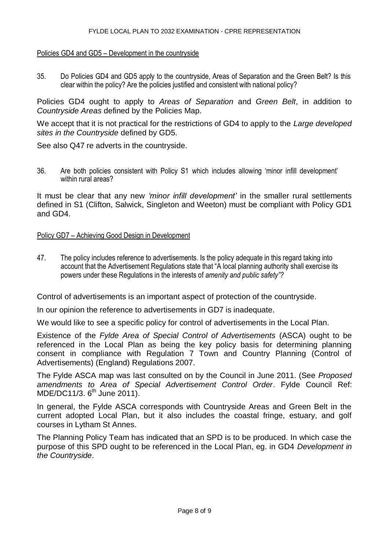## Policies GD4 and GD5 – Development in the countryside

35. Do Policies GD4 and GD5 apply to the countryside, Areas of Separation and the Green Belt? Is this clear within the policy? Are the policies justified and consistent with national policy?

Policies GD4 ought to apply to *Areas of Separation* and *Green Belt*, in addition to *Countryside Areas* defined by the Policies Map.

We accept that it is not practical for the restrictions of GD4 to apply to the *Large developed sites in the Countryside* defined by GD5.

See also Q47 re adverts in the countryside.

36. Are both policies consistent with Policy S1 which includes allowing 'minor infill development' within rural areas?

It must be clear that any new *'minor infill development'* in the smaller rural settlements defined in S1 (Clifton, Salwick, Singleton and Weeton) must be compliant with Policy GD1 and GD4.

## Policy GD7 – Achieving Good Design in Development

47. The policy includes reference to advertisements. Is the policy adequate in this regard taking into account that the Advertisement Regulations state that "A local planning authority shall exercise its powers under these Regulations in the interests of *amenity and public safety"?*

Control of advertisements is an important aspect of protection of the countryside.

In our opinion the reference to advertisements in GD7 is inadequate.

We would like to see a specific policy for control of advertisements in the Local Plan.

Existence of the *Fylde Area of Special Control of Advertisements* (ASCA) ought to be referenced in the Local Plan as being the key policy basis for determining planning consent in compliance with Regulation 7 Town and Country Planning (Control of Advertisements) (England) Regulations 2007.

The Fylde ASCA map was last consulted on by the Council in June 2011. (See *Proposed amendments to Area of Special Advertisement Control Order*. Fylde Council Ref: MDE/DC11/3. 6<sup>th</sup> June 2011).

In general, the Fylde ASCA corresponds with Countryside Areas and Green Belt in the current adopted Local Plan, but it also includes the coastal fringe, estuary, and golf courses in Lytham St Annes.

The Planning Policy Team has indicated that an SPD is to be produced. In which case the purpose of this SPD ought to be referenced in the Local Plan, eg. in GD4 *Development in the Countryside*.